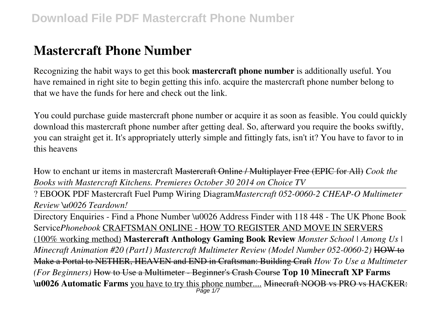# **Mastercraft Phone Number**

Recognizing the habit ways to get this book **mastercraft phone number** is additionally useful. You have remained in right site to begin getting this info. acquire the mastercraft phone number belong to that we have the funds for here and check out the link.

You could purchase guide mastercraft phone number or acquire it as soon as feasible. You could quickly download this mastercraft phone number after getting deal. So, afterward you require the books swiftly, you can straight get it. It's appropriately utterly simple and fittingly fats, isn't it? You have to favor to in this heavens

How to enchant ur items in mastercraft Mastercraft Online / Multiplayer Free (EPIC for All) *Cook the Books with Mastercraft Kitchens. Premieres October 30 2014 on Choice TV*

? EBOOK PDF Mastercraft Fuel Pump Wiring Diagram*Mastercraft 052-0060-2 CHEAP-O Multimeter Review \u0026 Teardown!*

Directory Enquiries - Find a Phone Number \u0026 Address Finder with 118 448 - The UK Phone Book Service*Phonebook* CRAFTSMAN ONLINE - HOW TO REGISTER AND MOVE IN SERVERS (100% working method) **Mastercraft Anthology Gaming Book Review** *Monster School | Among Us | Minecraft Animation #20 (Part1) Mastercraft Multimeter Review (Model Number 052-0060-2)* HOW to Make a Portal to NETHER, HEAVEN and END in Craftsman: Building Craft *How To Use a Multimeter (For Beginners)* How to Use a Multimeter - Beginner's Crash Course **Top 10 Minecraft XP Farms \u0026 Automatic Farms** you have to try this phone number.... Minecraft NOOB vs PRO vs HACKER: Page 1/7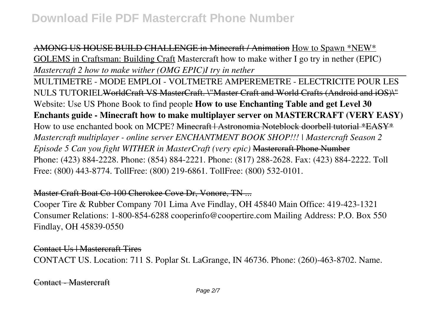AMONG US HOUSE BUILD CHALLENGE in Minecraft / Animation How to Spawn \*NEW\* GOLEMS in Craftsman: Building Craft Mastercraft how to make wither I go try in nether (EPIC) *Mastercraft 2 how to make wither (OMG EPIC)I try in nether*

MULTIMETRE - MODE EMPLOI - VOLTMETRE AMPEREMETRE - ELECTRICITE POUR LES NULS TUTORIELWorldCraft VS MasterCraft. \"Master Craft and World Crafts (Android and iOS)\" Website: Use US Phone Book to find people **How to use Enchanting Table and get Level 30 Enchants guide - Minecraft how to make multiplayer server on MASTERCRAFT (VERY EASY)** How to use enchanted book on MCPE? <del>Minecraft | Astronomia Noteblock doorbell tutorial \*EASY\*</del> *Mastercraft multiplayer - online server ENCHANTMENT BOOK SHOP!!! | Mastercraft Season 2 Episode 5 Can you fight WITHER in MasterCraft (very epic)* Mastercraft Phone Number Phone: (423) 884-2228. Phone: (854) 884-2221. Phone: (817) 288-2628. Fax: (423) 884-2222. Toll Free: (800) 443-8774. TollFree: (800) 219-6861. TollFree: (800) 532-0101.

Master Craft Boat Co 100 Cherokee Cove Dr, Vonore, TN ...

Cooper Tire & Rubber Company 701 Lima Ave Findlay, OH 45840 Main Office: 419-423-1321 Consumer Relations: 1-800-854-6288 cooperinfo@coopertire.com Mailing Address: P.O. Box 550 Findlay, OH 45839-0550

Contact Us | Mastercraft Tires CONTACT US. Location: 711 S. Poplar St. LaGrange, IN 46736. Phone: (260)-463-8702. Name.

Contact - Mastercraft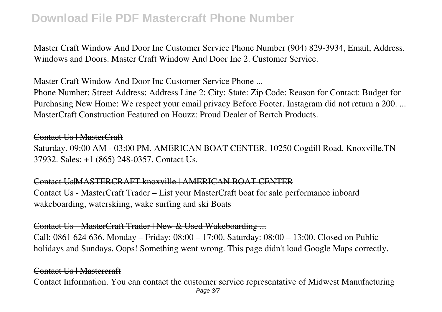Master Craft Window And Door Inc Customer Service Phone Number (904) 829-3934, Email, Address. Windows and Doors. Master Craft Window And Door Inc 2. Customer Service.

### Master Craft Window And Door Inc Customer Service Phone ...

Phone Number: Street Address: Address Line 2: City: State: Zip Code: Reason for Contact: Budget for Purchasing New Home: We respect your email privacy Before Footer. Instagram did not return a 200. ... MasterCraft Construction Featured on Houzz: Proud Dealer of Bertch Products.

## Contact Us | MasterCraft

Saturday. 09:00 AM - 03:00 PM. AMERICAN BOAT CENTER. 10250 Cogdill Road, Knoxville,TN 37932. Sales: +1 (865) 248-0357. Contact Us.

### Contact Us|MASTERCRAFT knoxville | AMERICAN BOAT CENTER

Contact Us - MasterCraft Trader – List your MasterCraft boat for sale performance inboard wakeboarding, waterskiing, wake surfing and ski Boats

### Contact Us - MasterCraft Trader | New & Used Wakeboarding ...

Call: 0861 624 636. Monday – Friday: 08:00 – 17:00. Saturday: 08:00 – 13:00. Closed on Public holidays and Sundays. Oops! Something went wrong. This page didn't load Google Maps correctly.

### Contact Us | Mastercraft

Contact Information. You can contact the customer service representative of Midwest Manufacturing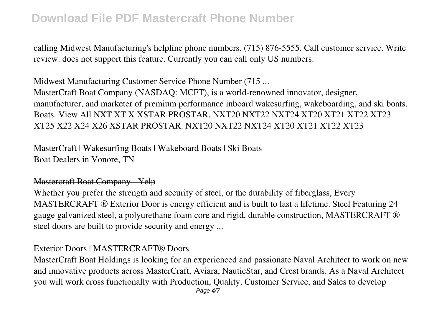calling Midwest Manufacturing's helpline phone numbers. (715) 876-5555. Call customer service. Write review. does not support this feature. Currently you can call only US numbers.

### Midwest Manufacturing Customer Service Phone Number (715 ...

MasterCraft Boat Company (NASDAQ: MCFT), is a world-renowned innovator, designer, manufacturer, and marketer of premium performance inboard wakesurfing, wakeboarding, and ski boats. Boats. View All NXT XT X XSTAR PROSTAR. NXT20 NXT22 NXT24 XT20 XT21 XT22 XT23 XT25 X22 X24 X26 XSTAR PROSTAR. NXT20 NXT22 NXT24 XT20 XT21 XT22 XT23

MasterCraft | Wakesurfing Boats | Wakeboard Boats | Ski Boats Boat Dealers in Vonore, TN

# Mastercraft Boat Company - Yelp

Whether you prefer the strength and security of steel, or the durability of fiberglass, Every MASTERCRAFT ® Exterior Door is energy efficient and is built to last a lifetime. Steel Featuring 24 gauge galvanized steel, a polyurethane foam core and rigid, durable construction, MASTERCRAFT ® steel doors are built to provide security and energy ...

### Exterior Doors | MASTERCRAFT® Doors

MasterCraft Boat Holdings is looking for an experienced and passionate Naval Architect to work on new and innovative products across MasterCraft, Aviara, NauticStar, and Crest brands. As a Naval Architect you will work cross functionally with Production, Quality, Customer Service, and Sales to develop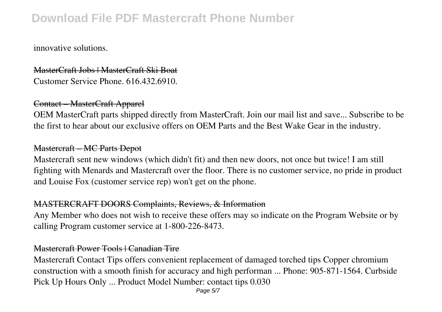innovative solutions.

## MasterCraft Jobs | MasterCraft Ski Boat Customer Service Phone. 616.432.6910.

### Contact – MasterCraft Apparel

OEM MasterCraft parts shipped directly from MasterCraft. Join our mail list and save... Subscribe to be the first to hear about our exclusive offers on OEM Parts and the Best Wake Gear in the industry.

#### Mastercraft – MC Parts Depot

Mastercraft sent new windows (which didn't fit) and then new doors, not once but twice! I am still fighting with Menards and Mastercraft over the floor. There is no customer service, no pride in product and Louise Fox (customer service rep) won't get on the phone.

### MASTERCRAFT DOORS Complaints, Reviews, & Information

Any Member who does not wish to receive these offers may so indicate on the Program Website or by calling Program customer service at 1-800-226-8473.

### Mastercraft Power Tools | Canadian Tire

Mastercraft Contact Tips offers convenient replacement of damaged torched tips Copper chromium construction with a smooth finish for accuracy and high performan ... Phone: 905-871-1564. Curbside Pick Up Hours Only ... Product Model Number: contact tips 0.030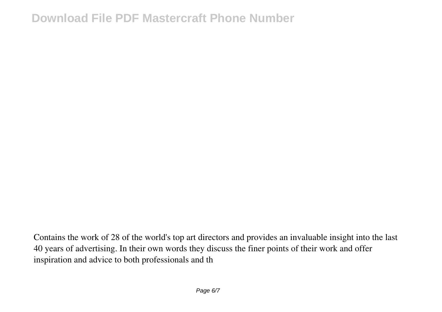Contains the work of 28 of the world's top art directors and provides an invaluable insight into the last 40 years of advertising. In their own words they discuss the finer points of their work and offer inspiration and advice to both professionals and th